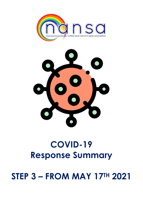# STEP 3 – FROM MAY 17TH 2021

# COVID-19 Response Summary



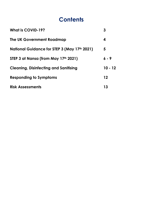## **Contents**

| <b>What is COVID-19?</b>                     | 3         |
|----------------------------------------------|-----------|
| The UK Government Roadmap                    | 4         |
| National Guidance for STEP 3 (May 17th 2021) | 5         |
| STEP 3 at Nansa (from May 17th 2021)         | $6 - 9$   |
| <b>Cleaning, Disinfecting and Sanitising</b> | $10 - 12$ |
| <b>Responding to Symptoms</b>                | $12 \,$   |
| <b>Risk Assessments</b>                      | 13        |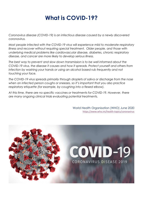## What is COVID-19?

Coronavirus disease (COVID-19) is an infectious disease caused by a newly discovered coronavirus.

Most people infected with the COVID-19 virus will experience mild to moderate respiratory illness and recover without requiring special treatment. Older people, and those with underlying medical problems like cardiovascular disease, diabetes, chronic respiratory disease, and cancer are more likely to develop serious illness.

The best way to prevent and slow down transmission is to be well informed about the COVID-19 virus, the disease it causes and how it spreads. Protect yourself and others from infection by washing your hands or using an alcohol based rub frequently and not touching your face.

The COVID-19 virus spreads primarily through droplets of saliva or discharge from the nose when an infected person coughs or sneezes, so it's important that you also practice respiratory etiquette (for example, by coughing into a flexed elbow).

At this time, there are no specific vaccines or treatments for COVID-19. However, there are many ongoing clinical trials evaluating potential treatments.

> World Health Organisation (WHO) June 2020 https://www.who.int/health-topics/coronavirus

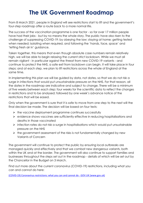## The UK Government Roadmap

From 8 March 2021, people in England will see restrictions start to lift and the government's four-step roadmap offer a route back to a more normal life.

The success of the vaccination programme is one factor - so far over 17 million people have had their jabs - but by no means the whole story. The public have also risen to the challenge of suppressing COVID-19: by obeying the law; staying at home; getting tested when needed; isolating when required, and following the 'hands, face, space' and 'letting fresh air in' guidance.

Taken together, this means that even though absolute case numbers remain relatively high, we will be able to begin relaxing the current strict lockdown. While we must all remain vigilant - in particular against the threat from new COVID-19 variants - and continue to protect the NHS, a safe exit from lockdown can begin. It will take place in four steps; and at each step, we plan to lift restrictions across the whole of England at the same time.

In implementing this plan we will be guided by data, not dates, so that we do not risk a surge in infections that would put unsustainable pressure on the NHS. For that reason, all the dates in the roadmap are indicative and subject to change. There will be a minimum of five weeks between each step: four weeks for the scientific data to reflect the changes in restrictions and to be analysed; followed by one week's advance notice of the restrictions that will be eased.

Only when the government is sure that it is safe to move from one step to the next will the final decision be made. The decision will be based on four tests:

- $\triangleright$  the vaccine deployment programme continues successfully
- $\triangleright$  evidence shows vaccines are sufficiently effective in reducing hospitalisations and deaths in those vaccinated
- $\triangleright$  infection rates do not risk a surge in hospitalisations which would put unsustainable pressure on the NHS
- $\triangleright$  the government assessment of the risks is not fundamentally changed by new Variants of Concern

The government will continue to protect the public by ensuring local outbreaks are managed quickly and effectively and that we combat new dangerous variants, both within the UK and at the border. The government will also continue to support families and businesses throughout the steps set out in the roadmap - details of which will be set out by the Chancellor in the Budget on 3 March.

Find out more about the current coronavirus (COVID-19) restrictions, including what you can and cannot do here:

(COVID-19) Coronavirus restrictions: what you can and cannot do - GOV.UK (www.gov.uk)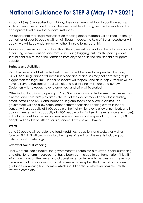# National Guidance for STEP 3 (May 17th 2021)

As part of Step 3, no earlier than 17 May, the government will look to continue easing limits on seeing friends and family wherever possible, allowing people to decide on the appropriate level of risk for their circumstances.

This means that most legal restrictions on meeting others outdoors will be lifted - although gatherings of over 30 people will remain illegal. Indoors, the Rule of 6 or 2 households will apply - we will keep under review whether it is safe to increase this.

As soon as possible and by no later than Step 3, we will also update the advice on social distancing between friends and family, including hugging. But until this point, people should continue to keep their distance from anyone not in their household or support bubble.

#### Business and Activities

Most businesses in all but the highest risk sectors will be able to reopen. In all sectors, COVID-Secure guidance will remain in place and businesses may not cater for groups bigger than the legal limits. Indoor hospitality will reopen - and as in Step 2, venues will not have to serve a substantial meal with alcoholic drinks; nor will there be a curfew. Customers will, however, have to order, eat and drink while seated.

Other indoor locations to open up in Step 3 include indoor entertainment venues such as cinemas and children's play areas; the rest of the accommodation sector, including hotels, hostels and B&Bs; and indoor adult group sports and exercise classes. The government will also allow some larger performances and sporting events in indoor venues with a capacity of 1,000 people or half-full (whichever is a lower number), and in outdoor venues with a capacity of 4,000 people or half-full (whichever is a lower number). In the largest outdoor seated venues, where crowds can be spread out, up to 10,000 people will be able to attend (or a quarter-full, whichever is lower).

#### Events

Up to 30 people will be able to attend weddings, receptions and wakes, as well as funerals. This limit will also apply to other types of significant life events including bar mitzvahs and christenings.

#### Review of social distancing

Finally, before Step 4 begins, the government will complete a review of social distancing and other long-term measures that have been put in place to cut transmission. This will inform decisions on the timing and circumstances under which the rules on 1 metre plus, the wearing of face coverings and other measures may be lifted. This will also inform guidance on working from home – which should continue wherever possible until this review is complete.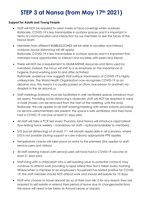# STEP 3 at Nansa (from May 17th 2021)

#### Support for Adults and Young People

- Staff will NOT be required to wear masks or face coverings when outdoors Rationale: COVID-19 is less transmissible in outdoor spaces and it is important in terms of communication and interaction for our members to see the faces of the Nansa team
- Members from different BUBBLES/ZONES will be able to socialise and interact outdoors (social distancing will still apply) Rationale: COVID-19 is less transmissible in outdoor spaces and it is important that members have opportunities to interact and socialise with peers and friends
- There will NOT be a requirement to QUARANTINE resources and items used by members; instead, the focus will shift to a re-emphasis on the importance of hygiene (hand washing prior to and after activities) Rationale: evidence now suggests that surface transmission of COVID-19 is highly unlikely/rare. The World Health Organisation now recognises COVID-19 as an airborne virus; this means it is usually passed on (from one person to another) via droplets in the air around us
- Staff meetings (indoors) must be facilitated in well ventilated spaces (windows must be open). Providing social distancing is observed, staff will NOT be required to wear a mask (masks can be removed from the start of the meeting, until the end) Rationale: this rule applies to all staff working/meeting with others indoors providing: no service-users/members are present; the space is well ventilated; and they have had a COVID-19 vaccine at least 21 days prior
- All staff will take a PCR test every Thursday (and Nansa will introduce rapid lateral flow testing twice weekly – mandatory for staff – optional/available to members)
- $\bullet$  S/D (social distancing) of at least  $1^{m+}$  will remain applicable in all scenarios; where S/D is not possible (during support or care indoors) appropriate PPE applies
- Temperature checks will take place on entry to the premises (this applies to staff, service-users and visitors)
- All staff working indoors with service-users will have had a COVID-19 vaccine at least 21 days prior
- Staff living with a child/adult who is self-isolating (due to potential contact) may continue to attend work providing a rapid lateral flow test is taken every morning. Where/when a member of an employee's household has tested positive for COVID-19, the staff member should NOT attend work and should self-isolate for 10 days
- Staff who choose to travel abroad do so at their own risk; if for any reason they are required to self-isolate or extend their period of leave due to changes/restrictions the leave will need to be taken as Annual Leave or Unpaid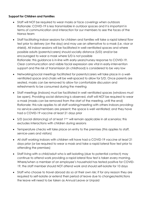#### Support for Children and Families

- Staff will NOT be required to wear masks or face coverings when outdoors Rationale: COVID-19 is less transmissible in outdoor spaces and it is important in terms of communication and interaction for our members to see the faces of the Nansa team
- Staff facilitating indoor sessions for children and families will take a rapid lateral flow test prior to delivery (on the day) and may use an alternative to a mask (i.e. visor or shield). All indoor sessions will be facilitated in well-ventilated spaces and where possible adults (parents/carers) should socially distance (S/D) and/or be encouraged to wear a mask where S/D is not possible Rationale: this guidance is in-line with early-years/nursey response to COVID-19. Clear communication and visible facial expression are vital in early-intervention support and the risk of transmission (in childhood) is considered to be very low
- Networking/social meetings facilitated for parents/carers will take place in a wellventilated space and chairs will be well-spaced to allow for S/D. Once parents are seated, masks can be removed to allow for comfortable discussion and refreshments to be consumed during the meeting
- Staff meetings (indoors) must be facilitated in well ventilated spaces (windows must be open). Providing social distancing is observed, staff will NOT be required to wear a mask (masks can be removed from the start of the meeting, until the end) Rationale: this rule applies to all staff working/meeting with others indoors providing: no service-users/members are present; the space is well ventilated; and they have had a COVID-19 vaccine at least 21 days prior
- $\bullet$  S/D (social distancing) of at least  $1<sup>m+</sup>$  will remain applicable in all scenarios; this excludes interactions with children during sessions
- Temperature checks will take place on entry to the premises (this applies to staff, service-users and visitors)
- All staff working indoors with children will have had a COVID-19 vaccine at least 21 days prior (or be required to wear a mask and take a rapid lateral flow test prior to attending the premises)
- Staff living with a child/adult who is self-isolating (due to potential contact) may continue to attend work providing a rapid lateral flow test is taken every morning. Where/when a member of an employee's household has tested positive for COVID-19, the staff member should NOT attend work and should self-isolate for 10 days
- Staff who choose to travel abroad do so at their own risk; if for any reason they are required to self-isolate or extend their period of leave due to changes/restrictions the leave will need to be taken as Annual Leave or Unpaid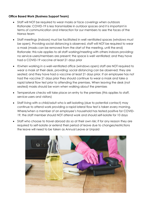#### Office Based Work (Business Support Team)

- Staff will NOT be required to wear masks or face coverings when outdoors Rationale: COVID-19 is less transmissible in outdoor spaces and it is important in terms of communication and interaction for our members to see the faces of the Nansa team
- Staff meetings (indoors) must be facilitated in well ventilated spaces (windows must be open). Providing social distancing is observed, staff will NOT be required to wear a mask (masks can be removed from the start of the meeting, until the end) Rationale: this rule applies to all staff working/meeting with others indoors providing: no service-users/members are present; the space is well ventilated; and they have had a COVID-19 vaccine at least 21 days prior
- If/when working in a well-ventilated office (windows open) staff are NOT required to wear a mask at their desk, providing: social distancing can be observed; they are seated; and they have had a vaccine at least 21 days prior. If an employee has not had the vaccine 21 days prior they should continue to wear a mask and take a rapid lateral flow test prior to attending the premises. When leaving the desk (not seated) masks should be worn when walking about the premises
- Temperature checks will take place on entry to the premises (this applies to staff, service-users and visitors)
- Staff living with a child/adult who is self-isolating (due to potential contact) may continue to attend work providing a rapid lateral flow test is taken every morning. Where/when a member of an employee's household has tested positive for COVID-19, the staff member should NOT attend work and should self-isolate for 10 days
- Staff who choose to travel abroad do so at their own risk; if for any reason they are required to self-isolate or extend their period of leave due to changes/restrictions the leave will need to be taken as Annual Leave or Unpaid

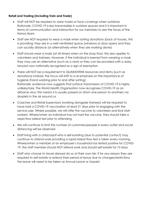#### Retail and Trading (including Train and Trade)

- Staff will NOT be required to wear masks or face coverings when outdoors Rationale: COVID-19 is less transmissible in outdoor spaces and it is important in terms of communication and interaction for our members to see the faces of the Nansa team
- Staff are NOT required to wear a mask when sorting donations (back of house), this is providing: they are in a well ventilated space (windows or door open) and they can socially distance (or alternatively when they are working alone)
- Staff should wear a mask (at all times) when on the shop floor, this also applies to volunteers and trainees. However, if the individual is exempt from wearing a mask they may use an alternative (such as a visor) or they can be provided with a daisy lanyard now nationally recognised as a sign of exemption
- There will NOT be a requirement to QUARANTINE resources and items (such as donations) instead, the focus will shift to a re-emphasis on the importance of hygiene (hand washing prior to and after sorting) Rationale: evidence now suggests that surface transmission of COVID-19 is highly unlikely/rare. The World Health Organisation now recognises COVID-19 as an airborne virus; this means it is usually passed on (from one person to another) via droplets in the air around us
- Coaches and Retail Supervisors (working alongside trainees) will be required to have had a COVID-19 vaccination at least 21 days prior to engaging with the service-user. Where possible, we will offer the vaccine to volunteers and kick-start workers. Where/when an individual has not had the vaccine, they should take a rapid flow lateral test prior to attending
- We will continue to limit the number of customers/people in every outlet and social distancing will be observed
- Staff living with a child/adult who is self-isolating (due to potential contact) may continue to attend work providing a rapid lateral flow test is taken every morning. Where/when a member of an employee's household has tested positive for COVID-19, the staff member should NOT attend work and should self-isolate for 10 days
- Staff who choose to travel abroad do so at their own risk; if for any reason they are required to self-isolate or extend their period of leave due to changes/restrictions the leave will need to be taken as Annual Leave or Unpaid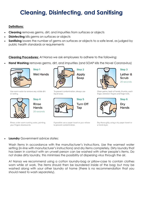# Cleaning, Disinfecting, and Sanitising

#### Definitions:

- Cleaning removes germs, dirt, and impurities from surfaces or objects
- **Disinfecting** kills germs on surfaces or objects
- **Sanitizing** lowers the number of germs on surfaces or objects to a safe level, as judged by public health standards or requirements

Cleaning Procedures: At Nansa we ask employees to adhere to the following;

Hand Washing removes germs, dirt, and impurities (and SOAP kills the Novel Coronavirus)



Step 1 **Wet Hands** 





**Rinse Hands** 20 seconds

Step 4

Rinse under warm running water, pointing your fingers downwards.



To prevent contamination, always use liquid soap.



If possible use a paper towel or your elbow to prevent contamination.



Step 3

Lather & **Scrub** 20 seconds

Clean palms, back of hands, thumbs, each finger, between fingers and fingernails.



Dry **Hands** 

Step<sub>6</sub>

Dry thoroughly using a dry paper towel or a hand dryer.

#### Laundry Government advice states:

Wash items in accordance with the manufacturer's instructions. Use the warmest water setting (in-line with manufacturer's instructions) and dry items completely. Dirty laundry that has been in contact with an unwell person can be washed with other people's items. Do not shake dirty laundry, this minimises the possibility of dispersing virus through the air.

At Nansa we recommend using a cotton laundry-bag or pillow-case to contain clothes worn while at work. The items should then be laundered inside of the bag; but may be washed along with your other laundry at home (there is no recommendation that you should need to wash separately).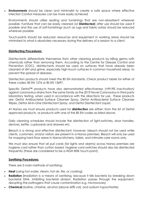**Environments** should be clean and minimalist to create a safe space where effective Infection Control measures can be more easily achieved

Environments should utilise seating and furnishings that are non-absorbent wherever possible. Furniture that can be easily cleaned (or **Disinfected**) after use should be used if possible and the use of soft-furnishings (such as rugs and fabric-sofas) should be reduced wherever possible.

Touch-points should be reduced; resources and equipment in working areas should be minimised to what is absolutely necessary during the delivery of a session to a client.

#### Disinfecting Procedures:

Disinfectants differentiate themselves from other cleaning products by killing germs with chemicals rather than removing them. According to the Centre for Disease Control and Prevention (CDC), disinfectants should be used on surfaces that have already been cleaned of dirt and grime, especially high-touch surfaces in common household areas, to prevent the spread of diseases.

Disinfection products should meet the BS EN standards. Check product labels for either of these codes: BS EN 1276 or BS EN 13697.

Specific Dettol™ products have also demonstrated effectiveness (>99.9% inactivation) against coronavirus strains from the same family as the 2019 Novel Coronavirus in third party laboratory testing, when used in accordance with the directions for use. These products are: Dettol Antibacterial Surface Cleanser Spray, Dettol Antibacterial Surface Cleanser Wipes, Dettol All-In-One Disinfectant Spray, and Dettol Disinfectant Liquid.

At Nansa we must ensure products used for **disinfection** are either; from the list of Dettol approved products, or products with one of the BS EN codes as listed above.

Daily cleaning schedules should include the disinfection of light-switches, door handles, devices, kettle, cupboards and drawers etc.

Bleach is a strong and effective disinfectant; however, bleach should not be used while clients, customers, and/or visitors are present in a Nansa premises. Bleach will only be used for mopping hard floor areas in Nansa kitchens, toilets, and intimate care rooms only.

We must also ensure that all pull cords (for lights and alarms) across Nansa premises are hygiene cord rather than cotton based. Hygiene cord switches should also be disinfected frequently (these are considered to be a HIGH RISK touch-point).

#### Sanitising Procedures:

There are 3 main methods of sanitising:

- Heat (using hot water, steam, hot air, fire, or cooking)
- **Radiation** (irradiation is a means of sanitising, because it kills bacteria by breaking down bacterial DNA, inhibiting bacterial division. Radiation passes through the equipment, disrupting the pathogens that cause contamination e.g. microwaves)
- Chemical (iodine, chlorine, alcohol (above 60% vol), and sodium hypochlorite)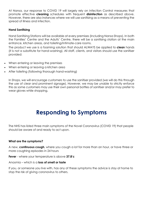At Nansa, our response to COVID 19 will largely rely on Infection Control measures that promote effective **cleaning** schedules with frequent **disinfection** as described above. However, there are also instances where we will use sanitising as a means of preventing the spread of illness and infection.

#### Hand Sanitising

Hand Sanitising Stations will be available at every premises (including Nansa Shops). In both the Families' Centre and the Adults' Centre, there will be a sanitising station at the main entrance, kitchen areas, and toileting/intimate-care rooms.

The product we use is a foaming solution that should ALWAYS be applied to **clean** hands (it is not a substitute for hand-washing). All staff, clients, and visitors should use the sanitiser provided:

- When entering or leaving the premises
- When entering or leaving a kitchen area
- After toileting (following thorough hand-washing)

In Shops, we will encourage customers to use the sanitiser provided (we will do this through the use of clear and prominent signage). However, we may be unable to strictly enforce this as some customers may use their own personal bottles of sanitiser and/or may prefer to wear gloves while shopping.

### Responding to Symptoms

The NHS has listed three main symptoms of the Novel Coronavirus (COVID 19) that people should be aware of and ready to act upon.

#### What are the symptoms?

A new, **continuous cough**, where you cough a lot for more than an hour, or have three or more coughing episodes in 24 hours

Fever - where your temperature is above 37.8°c

Anosmia – which is a **loss of smell or taste** 

If you, or someone you live with, has any of these symptoms the advice is stay at home to stop the risk of giving coronavirus to others.